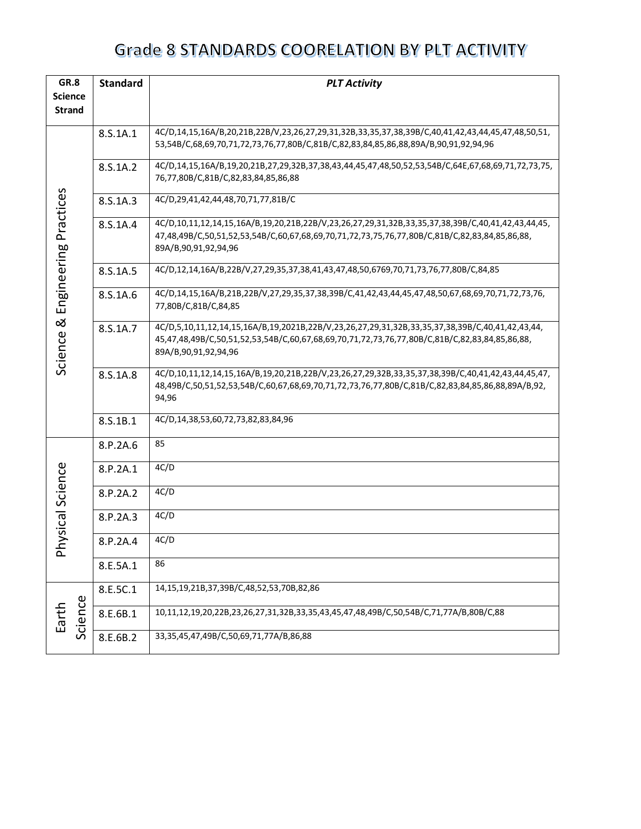| GR.8                  | <b>Standard</b><br><b>PLT Activity</b> |                                                                                                                                                                                                    |  |  |
|-----------------------|----------------------------------------|----------------------------------------------------------------------------------------------------------------------------------------------------------------------------------------------------|--|--|
| <b>Science</b>        |                                        |                                                                                                                                                                                                    |  |  |
| <b>Strand</b>         |                                        |                                                                                                                                                                                                    |  |  |
|                       | 8.S.1A.1                               | 4C/D,14,15,16A/B,20,21B,22B/V,23,26,27,29,31,32B,33,35,37,38,39B/C,40,41,42,43,44,45,47,48,50,51,                                                                                                  |  |  |
|                       |                                        | 53,54B/C,68,69,70,71,72,73,76,77,80B/C,81B/C,82,83,84,85,86,88,89A/B,90,91,92,94,96                                                                                                                |  |  |
|                       | 8.S.1A.2                               | 4C/D,14,15,16A/B,19,20,21B,27,29,32B,37,38,43,44,45,47,48,50,52,53,54B/C,64E,67,68,69,71,72,73,75,                                                                                                 |  |  |
|                       |                                        | 76,77,80B/C,81B/C,82,83,84,85,86,88                                                                                                                                                                |  |  |
|                       | 8.S.1A.3                               | 4C/D,29,41,42,44,48,70,71,77,81B/C                                                                                                                                                                 |  |  |
|                       | 8.S.1A.4                               | 4C/D,10,11,12,14,15,16A/B,19,20,21B,22B/V,23,26,27,29,31,32B,33,35,37,38,39B/C,40,41,42,43,44,45,<br>47,48,49B/C,50,51,52,53,54B/C,60,67,68,69,70,71,72,73,75,76,77,80B/C,81B/C,82,83,84,85,86,88, |  |  |
|                       |                                        | 89A/B, 90, 91, 92, 94, 96                                                                                                                                                                          |  |  |
| Engineering Practices | 8.S.1A.5                               | 4C/D,12,14,16A/B,22B/V,27,29,35,37,38,41,43,47,48,50,6769,70,71,73,76,77,80B/C,84,85                                                                                                               |  |  |
|                       | 8.S.1A.6                               | 4C/D,14,15,16A/B,21B,22B/V,27,29,35,37,38,39B/C,41,42,43,44,45,47,48,50,67,68,69,70,71,72,73,76,<br>77,80B/C,81B/C,84,85                                                                           |  |  |
| ಹ                     |                                        |                                                                                                                                                                                                    |  |  |
|                       | 8.S.1A.7                               | 4C/D,5,10,11,12,14,15,16A/B,19,2021B,22B/V,23,26,27,29,31,32B,33,35,37,38,39B/C,40,41,42,43,44,<br>45,47,48,49B/C,50,51,52,53,54B/C,60,67,68,69,70,71,72,73,76,77,80B/C,81B/C,82,83,84,85,86,88,   |  |  |
| Science               |                                        | 89A/B, 90, 91, 92, 94, 96                                                                                                                                                                          |  |  |
|                       | 8.S.1A.8                               | 4C/D,10,11,12,14,15,16A/B,19,20,21B,22B/V,23,26,27,29,32B,33,35,37,38,39B/C,40,41,42,43,44,45,47,                                                                                                  |  |  |
|                       |                                        | 48,49B/C,50,51,52,53,54B/C,60,67,68,69,70,71,72,73,76,77,80B/C,81B/C,82,83,84,85,86,88,89A/B,92,<br>94,96                                                                                          |  |  |
|                       |                                        |                                                                                                                                                                                                    |  |  |
|                       | 8.S.1B.1                               | 4C/D,14,38,53,60,72,73,82,83,84,96                                                                                                                                                                 |  |  |
|                       | 8.P.2A.6                               | 85                                                                                                                                                                                                 |  |  |
| ysical Science        | 8.P.2A.1                               | 4C/D                                                                                                                                                                                               |  |  |
|                       | 8.P.2A.2                               | 4C/D                                                                                                                                                                                               |  |  |
|                       | 8.P.2A.3                               | 4C/D                                                                                                                                                                                               |  |  |
| 운                     | 8.P.2A.4                               | 4C/D                                                                                                                                                                                               |  |  |
|                       | 8.E.5A.1                               | 86                                                                                                                                                                                                 |  |  |
| Φ                     | 8.E.5C.1                               | 14,15,19,21B,37,39B/C,48,52,53,70B,82,86                                                                                                                                                           |  |  |
| Science<br>Earth      | 8.E.6B.1                               | 10,11,12,19,20,22B,23,26,27,31,32B,33,35,43,45,47,48,49B/C,50,54B/C,71,77A/B,80B/C,88                                                                                                              |  |  |
|                       | 8.E.6B.2                               | 33,35,45,47,49B/C,50,69,71,77A/B,86,88                                                                                                                                                             |  |  |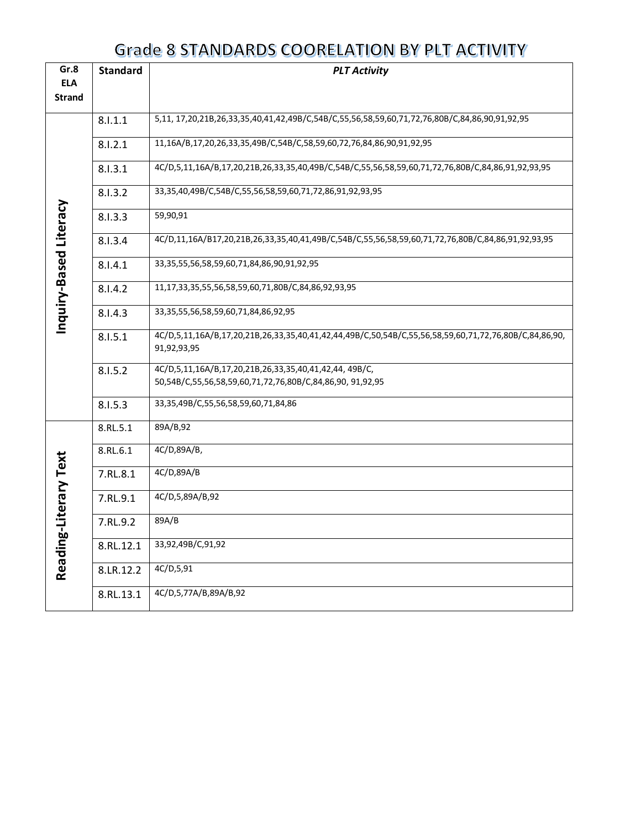| Gr.8                   | <b>Standard</b> | <b>PLT Activity</b>                                                                                                  |
|------------------------|-----------------|----------------------------------------------------------------------------------------------------------------------|
| <b>ELA</b>             |                 |                                                                                                                      |
| <b>Strand</b>          |                 |                                                                                                                      |
|                        |                 | 5,11, 17,20,21B,26,33,35,40,41,42,49B/C,54B/C,55,56,58,59,60,71,72,76,80B/C,84,86,90,91,92,95                        |
|                        | 8.1.1.1         |                                                                                                                      |
|                        | 8.1.2.1         | 11,16A/B,17,20,26,33,35,49B/C,54B/C,58,59,60,72,76,84,86,90,91,92,95                                                 |
|                        | 8.1.3.1         | 4C/D,5,11,16A/B,17,20,21B,26,33,35,40,49B/C,54B/C,55,56,58,59,60,71,72,76,80B/C,84,86,91,92,93,95                    |
|                        | 8.1.3.2         | 33,35,40,49B/C,54B/C,55,56,58,59,60,71,72,86,91,92,93,95                                                             |
| Inquiry-Based Literacy | 8.1.3.3         | 59,90,91                                                                                                             |
|                        | 8.1.3.4         | 4C/D,11,16A/B17,20,21B,26,33,35,40,41,49B/C,54B/C,55,56,58,59,60,71,72,76,80B/C,84,86,91,92,93,95                    |
|                        | 8.1.4.1         | 33, 35, 55, 56, 58, 59, 60, 71, 84, 86, 90, 91, 92, 95                                                               |
|                        | 8.1.4.2         | 11,17,33,35,55,56,58,59,60,71,80B/C,84,86,92,93,95                                                                   |
|                        | 8.1.4.3         | 33, 35, 55, 56, 58, 59, 60, 71, 84, 86, 92, 95                                                                       |
|                        | 8.1.5.1         | 4C/D,5,11,16A/B,17,20,21B,26,33,35,40,41,42,44,49B/C,50,54B/C,55,56,58,59,60,71,72,76,80B/C,84,86,90,<br>91,92,93,95 |
|                        | 8.1.5.2         | 4C/D,5,11,16A/B,17,20,21B,26,33,35,40,41,42,44, 49B/C,<br>50,54B/C,55,56,58,59,60,71,72,76,80B/C,84,86,90, 91,92,95  |
|                        | 8.1.5.3         | 33,35,49B/C,55,56,58,59,60,71,84,86                                                                                  |
|                        | 8.RL.5.1        | 89A/B,92                                                                                                             |
|                        | 8.RL.6.1        | 4C/D,89A/B,                                                                                                          |
|                        | 7.RL.8.1        | 4C/D,89A/B                                                                                                           |
| Literary Text          | 7.RL.9.1        | 4C/D,5,89A/B,92                                                                                                      |
|                        | 7.RL.9.2        | 89A/B                                                                                                                |
| Reading-               | 8.RL.12.1       | 33,92,49B/C,91,92                                                                                                    |
|                        | 8.LR.12.2       | 4C/D,5,91                                                                                                            |
|                        | 8.RL.13.1       | 4C/D,5,77A/B,89A/B,92                                                                                                |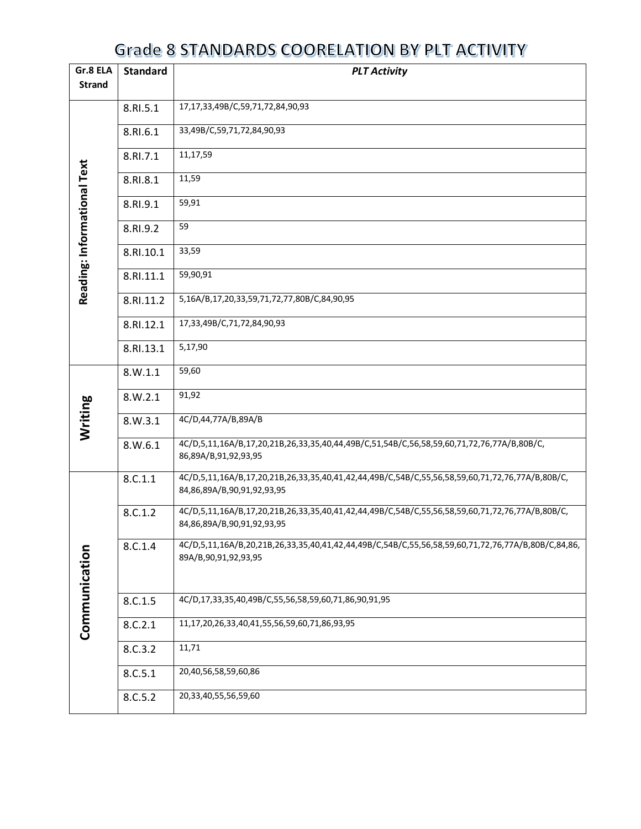| Gr.8 ELA                    | <b>Standard</b><br><b>PLT Activity</b><br><b>Strand</b> |                                                                                                                                 |  |  |
|-----------------------------|---------------------------------------------------------|---------------------------------------------------------------------------------------------------------------------------------|--|--|
|                             |                                                         | 17,17,33,49B/C,59,71,72,84,90,93                                                                                                |  |  |
|                             | 8.RI.5.1                                                |                                                                                                                                 |  |  |
|                             | 8.RI.6.1                                                | 33,49B/C,59,71,72,84,90,93                                                                                                      |  |  |
|                             | 8.RI.7.1                                                | 11,17,59                                                                                                                        |  |  |
|                             | 8.RI.8.1                                                | 11,59                                                                                                                           |  |  |
|                             | 8.RI.9.1                                                | 59,91                                                                                                                           |  |  |
| Reading: Informational Text | 8.RI.9.2                                                | 59                                                                                                                              |  |  |
|                             | 8.RI.10.1                                               | 33,59                                                                                                                           |  |  |
|                             | 8.RI.11.1                                               | 59,90,91                                                                                                                        |  |  |
|                             | 8.RI.11.2                                               | 5,16A/B,17,20,33,59,71,72,77,80B/C,84,90,95                                                                                     |  |  |
|                             | 8.RI.12.1                                               | 17,33,49B/C,71,72,84,90,93                                                                                                      |  |  |
|                             | 8.RI.13.1                                               | 5,17,90                                                                                                                         |  |  |
|                             | 8.W.1.1                                                 | 59,60                                                                                                                           |  |  |
|                             | 8.W.2.1                                                 | 91,92                                                                                                                           |  |  |
| Writing                     | 8.W.3.1                                                 | 4C/D,44,77A/B,89A/B                                                                                                             |  |  |
|                             | 8.W.6.1                                                 | 4C/D,5,11,16A/B,17,20,21B,26,33,35,40,44,49B/C,51,54B/C,56,58,59,60,71,72,76,77A/B,80B/C,<br>86,89A/B,91,92,93,95               |  |  |
|                             | 8.C.1.1                                                 | 4C/D,5,11,16A/B,17,20,21B,26,33,35,40,41,42,44,49B/C,54B/C,55,56,58,59,60,71,72,76,77A/B,80B/C,<br>84,86,89A/B,90,91,92,93,95   |  |  |
|                             | 8.C.1.2                                                 | 4C/D,5,11,16A/B,17,20,21B,26,33,35,40,41,42,44,49B/C,54B/C,55,56,58,59,60,71,72,76,77A/B,80B/C,<br>84,86,89A/B,90,91,92,93,95   |  |  |
| Communication               | 8.C.1.4                                                 | 4C/D,5,11,16A/B,20,21B,26,33,35,40,41,42,44,49B/C,54B/C,55,56,58,59,60,71,72,76,77A/B,80B/C,84,86,<br>89A/B, 90, 91, 92, 93, 95 |  |  |
|                             | 8.C.1.5                                                 | 4C/D,17,33,35,40,49B/C,55,56,58,59,60,71,86,90,91,95                                                                            |  |  |
|                             | 8.C.2.1                                                 | 11,17,20,26,33,40,41,55,56,59,60,71,86,93,95                                                                                    |  |  |
|                             | 8.C.3.2                                                 | 11,71                                                                                                                           |  |  |
|                             | 8.C.5.1                                                 | 20,40,56,58,59,60,86                                                                                                            |  |  |
|                             | 8.C.5.2                                                 | 20,33,40,55,56,59,60                                                                                                            |  |  |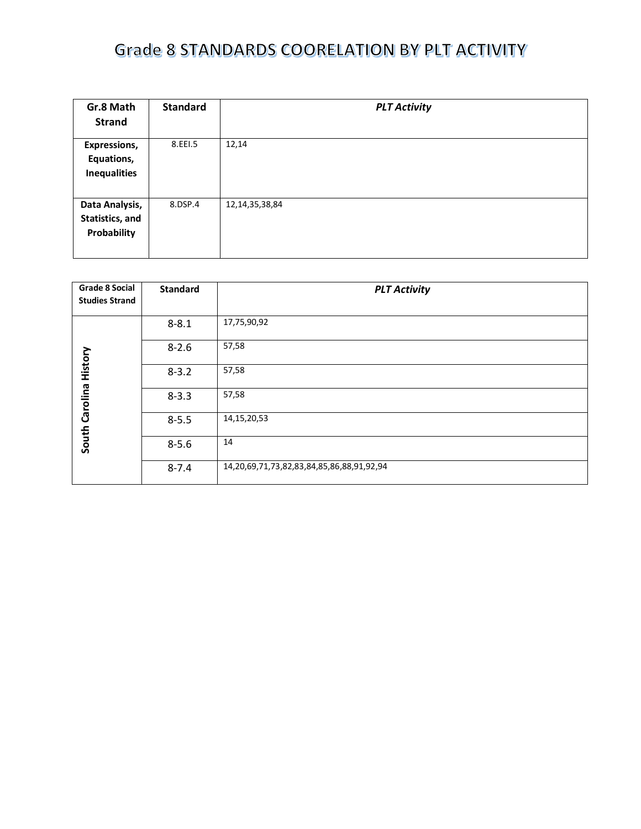| Gr.8 Math<br><b>Strand</b>                        | <b>Standard</b> | <b>PLT Activity</b> |
|---------------------------------------------------|-----------------|---------------------|
| Expressions,<br>Equations,<br><b>Inequalities</b> | 8.EEI.5         | 12,14               |
| Data Analysis,<br>Statistics, and<br>Probability  | 8.DSP.4         | 12, 14, 35, 38, 84  |

| <b>Grade 8 Social</b><br><b>Studies Strand</b> | <b>Standard</b> | <b>PLT Activity</b>                       |
|------------------------------------------------|-----------------|-------------------------------------------|
|                                                |                 |                                           |
|                                                | $8 - 8.1$       | 17,75,90,92                               |
|                                                | $8 - 2.6$       | 57,58                                     |
| History                                        | $8 - 3.2$       | 57,58                                     |
| South Carolina                                 | $8 - 3.3$       | 57,58                                     |
|                                                | $8 - 5.5$       | 14, 15, 20, 53                            |
|                                                | $8 - 5.6$       | 14                                        |
|                                                | $8 - 7.4$       | 14,20,69,71,73,82,83,84,85,86,88,91,92,94 |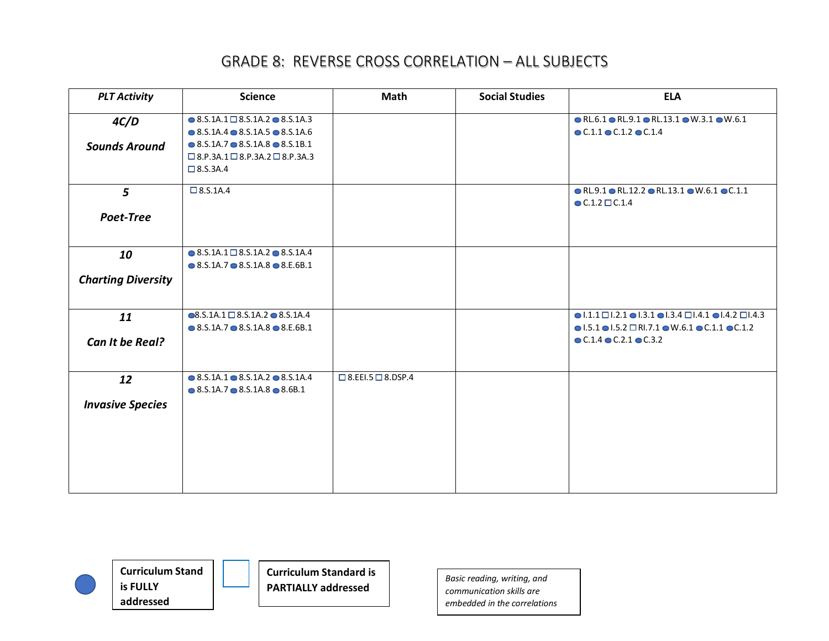| <b>PLT Activity</b>             | <b>Science</b>                                                                                                                                                                                                                                      | <b>Math</b>                   | <b>Social Studies</b> | <b>ELA</b>                                                                                                                                                                                                                                                 |
|---------------------------------|-----------------------------------------------------------------------------------------------------------------------------------------------------------------------------------------------------------------------------------------------------|-------------------------------|-----------------------|------------------------------------------------------------------------------------------------------------------------------------------------------------------------------------------------------------------------------------------------------------|
| 4C/D<br><b>Sounds Around</b>    | $\bullet$ 8.S.1A.1 $\Box$ 8.S.1A.2 $\bullet$ 8.S.1A.3<br>$\bullet$ 8.5.1A.4 $\bullet$ 8.5.1A.5 $\bullet$ 8.5.1A.6<br>$\bullet$ 8.5.1A.7 $\bullet$ 8.5.1A.8 $\bullet$ 8.5.1B.1<br>$\Box$ 8.P.3A.1 $\Box$ 8.P.3A.2 $\Box$ 8.P.3A.3<br>$\Box$ 8.S.3A.4 |                               |                       | $\bullet$ RL.6.1 $\bullet$ RL.9.1 $\bullet$ RL.13.1 $\bullet$ W.3.1 $\bullet$ W.6.1<br>$C.1.1$ $C.1.2$ $C.1.4$                                                                                                                                             |
| $5\overline{)}$<br>Poet-Tree    | $\Box$ 8.S.1A.4                                                                                                                                                                                                                                     |                               |                       | $\bullet$ RL.9.1 $\bullet$ RL.12.2 $\bullet$ RL.13.1 $\bullet$ W.6.1 $\bullet$ C.1.1<br>$\bullet$ C.1.2 $\Box$ C.1.4                                                                                                                                       |
| 10<br><b>Charting Diversity</b> | $\bullet$ 8.S.1A.1 $\square$ 8.S.1A.2 $\bullet$ 8.S.1A.4<br>$\bullet$ 8.5.1A.7 $\bullet$ 8.5.1A.8 $\bullet$ 8.E.6B.1                                                                                                                                |                               |                       |                                                                                                                                                                                                                                                            |
| 11<br>Can It be Real?           | $\bullet$ 8.S.1A.1 $\Box$ 8.S.1A.2 $\bullet$ 8.S.1A.4<br>$\bullet$ 8.S.1A.7 $\bullet$ 8.S.1A.8 $\bullet$ 8.E.6B.1                                                                                                                                   |                               |                       | $\bullet$  .1.1 $\Box$  .2.1 $\bullet$  .3.1 $\bullet$  .3.4 $\Box$  .4.1 $\bullet$  .4.2 $\Box$  .4.3<br>$\bullet$ 1.5.1 $\bullet$ 1.5.2 $\Box$ RI.7.1 $\bullet$ W.6.1 $\bullet$ C.1.1 $\bullet$ C.1.2<br>$\bullet$ C.1.4 $\bullet$ C.2.1 $\bullet$ C.3.2 |
| 12<br><b>Invasive Species</b>   | $\bullet$ 8.S.1A.1 $\bullet$ 8.S.1A.2 $\bullet$ 8.S.1A.4<br>$\bullet$ 8.5.1A.7 $\bullet$ 8.5.1A.8 $\bullet$ 8.6B.1                                                                                                                                  | $\Box$ 8.EEI.5 $\Box$ 8.DSP.4 |                       |                                                                                                                                                                                                                                                            |



**Curriculum Standard is PARTIALLY addressed**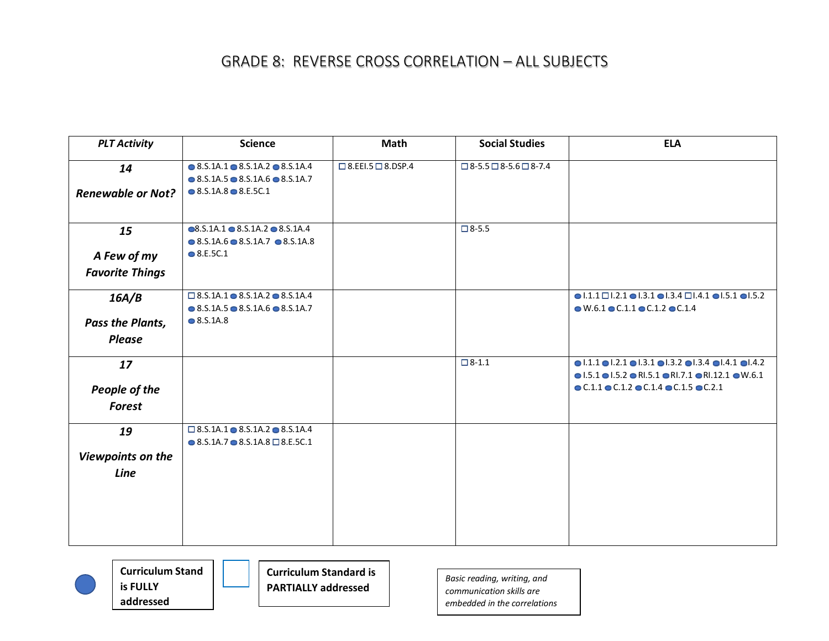| <b>PLT Activity</b>      | <b>Science</b>                                           | Math                          | <b>Social Studies</b>                  | <b>ELA</b>                                                                                                      |
|--------------------------|----------------------------------------------------------|-------------------------------|----------------------------------------|-----------------------------------------------------------------------------------------------------------------|
| 14                       | $\bullet$ 8.S.1A.1 $\bullet$ 8.S.1A.2 $\bullet$ 8.S.1A.4 | $\Box$ 8.EEI.5 $\Box$ 8.DSP.4 | $\Box$ 8-5.5 $\Box$ 8-5.6 $\Box$ 8-7.4 |                                                                                                                 |
|                          | $\bullet$ 8.S.1A.5 $\bullet$ 8.S.1A.6 $\bullet$ 8.S.1A.7 |                               |                                        |                                                                                                                 |
| <b>Renewable or Not?</b> | $\bullet$ 8.S.1A.8 $\bullet$ 8.E.5C.1                    |                               |                                        |                                                                                                                 |
| 15                       | $\bullet$ 8.S.1A.1 $\bullet$ 8.S.1A.2 $\bullet$ 8.S.1A.4 |                               | $\Box$ 8-5.5                           |                                                                                                                 |
|                          | $\bullet$ 8.S.1A.6 $\bullet$ 8.S.1A.7 $\bullet$ 8.S.1A.8 |                               |                                        |                                                                                                                 |
| A Few of my              | $\bullet$ 8.E.5C.1                                       |                               |                                        |                                                                                                                 |
| <b>Favorite Things</b>   |                                                          |                               |                                        |                                                                                                                 |
| 16A/B                    | $\Box$ 8.S.1A.1 $\bullet$ 8.S.1A.2 $\bullet$ 8.S.1A.4    |                               |                                        | $\bullet$  .1.1 $\Box$  .2.1 $\bullet$  .3.1 $\bullet$  .3.4 $\Box$  .4.1 $\bullet$  .5.1 $\bullet$  .5.2       |
|                          | $\bullet$ 8.S.1A.5 $\bullet$ 8.S.1A.6 $\bullet$ 8.S.1A.7 |                               |                                        | $\bullet$ W.6.1 $\bullet$ C.1.1 $\bullet$ C.1.2 $\bullet$ C.1.4                                                 |
| Pass the Plants,         | $\bullet$ 8.S.1A.8                                       |                               |                                        |                                                                                                                 |
| <b>Please</b>            |                                                          |                               |                                        |                                                                                                                 |
| 17                       |                                                          |                               | $\Box$ 8-1.1                           | $\bullet$ 1.1.1 $\bullet$ 1.2.1 $\bullet$ 1.3.1 $\bullet$ 1.3.2 $\bullet$ 1.3.4 $\bullet$ 1.4.1 $\bullet$ 1.4.2 |
|                          |                                                          |                               |                                        | $\bullet$ 1.5.1 $\bullet$ 1.5.2 $\bullet$ RI.5.1 $\bullet$ RI.7.1 $\bullet$ RI.12.1 $\bullet$ W.6.1             |
| People of the            |                                                          |                               |                                        | $\bullet$ C.1.1 $\bullet$ C.1.2 $\bullet$ C.1.4 $\bullet$ C.1.5 $\bullet$ C.2.1                                 |
| <b>Forest</b>            |                                                          |                               |                                        |                                                                                                                 |
| 19                       | $\Box$ 8.S.1A.1 $\bullet$ 8.S.1A.2 $\bullet$ 8.S.1A.4    |                               |                                        |                                                                                                                 |
|                          | $\bullet$ 8.5.1A.7 $\bullet$ 8.5.1A.8 $\Box$ 8.E.5C.1    |                               |                                        |                                                                                                                 |
| Viewpoints on the        |                                                          |                               |                                        |                                                                                                                 |
| Line                     |                                                          |                               |                                        |                                                                                                                 |
|                          |                                                          |                               |                                        |                                                                                                                 |
|                          |                                                          |                               |                                        |                                                                                                                 |
|                          |                                                          |                               |                                        |                                                                                                                 |
|                          |                                                          |                               |                                        |                                                                                                                 |
|                          |                                                          |                               |                                        |                                                                                                                 |



**Curriculum Standard is PARTIALLY addressed**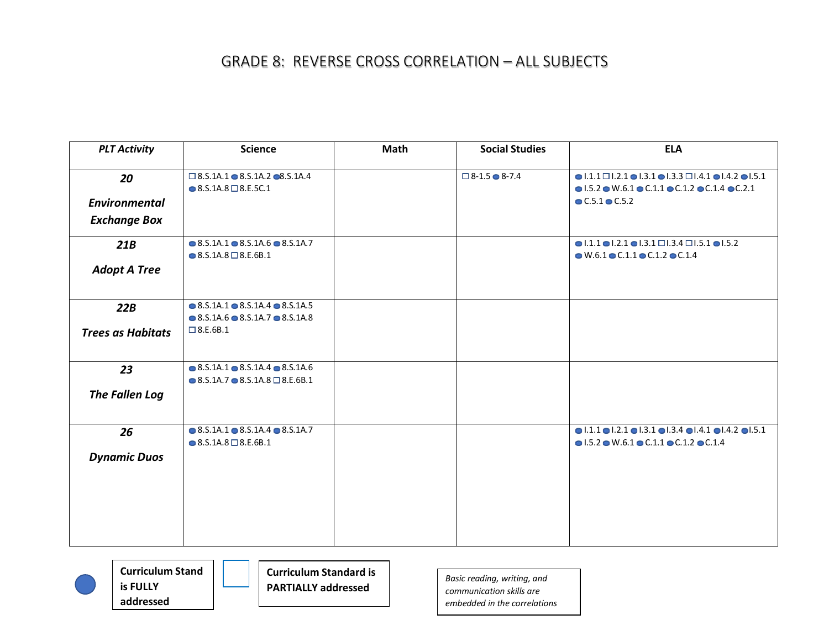| <b>PLT Activity</b>                               | <b>Science</b>                                                                                                                          | Math | <b>Social Studies</b>         | <b>ELA</b>                                                                                                                                                                                                                            |
|---------------------------------------------------|-----------------------------------------------------------------------------------------------------------------------------------------|------|-------------------------------|---------------------------------------------------------------------------------------------------------------------------------------------------------------------------------------------------------------------------------------|
| 20<br><b>Environmental</b><br><b>Exchange Box</b> | $\square$ 8.5.1A.1 $\odot$ 8.5.1A.2 $\square$ 8.5.1A.4<br>$\bullet$ 8.S.1A.8 $\Box$ 8.E.5C.1                                            |      | $\Box$ 8-1.5 $\bigcirc$ 8-7.4 | $\bullet$ 1.1.1 $\Box$ 1.2.1 $\bullet$ 1.3.1 $\bullet$ 1.3.3 $\Box$ 1.4.1 $\bullet$ 1.4.2 $\bullet$ 1.5.1<br>$\bullet$ 1.5.2 $\bullet$ W.6.1 $\bullet$ C.1.1 $\bullet$ C.1.2 $\bullet$ C.1.4 $\bullet$ C.2.1<br>$C.5.1 \bullet C.5.2$ |
| 21B<br><b>Adopt A Tree</b>                        | $\bullet$ 8.5.1A.1 $\bullet$ 8.5.1A.6 $\bullet$ 8.5.1A.7<br>$\bullet$ 8.S.1A.8 $\Box$ 8.E.6B.1                                          |      |                               | $\bullet$ 1.1.1 $\bullet$ 1.2.1 $\bullet$ 1.3.1 $\Box$ 1.3.4 $\Box$ 1.5.1 $\bullet$ 1.5.2<br>$\bullet$ W.6.1 $\bullet$ C.1.1 $\bullet$ C.1.2 $\bullet$ C.1.4                                                                          |
| 22B<br><b>Trees as Habitats</b>                   | $\bullet$ 8.S.1A.1 $\bullet$ 8.S.1A.4 $\bullet$ 8.S.1A.5<br>$\bullet$ 8.5.1A.6 $\bullet$ 8.5.1A.7 $\bullet$ 8.5.1A.8<br>$\Box$ 8.E.6B.1 |      |                               |                                                                                                                                                                                                                                       |
| 23<br>The Fallen Log                              | $\bullet$ 8.5.1A.1 $\bullet$ 8.5.1A.4 $\bullet$ 8.5.1A.6<br>$\bullet$ 8.5.1A.7 $\bullet$ 8.5.1A.8 $\Box$ 8.E.6B.1                       |      |                               |                                                                                                                                                                                                                                       |
| 26<br><b>Dynamic Duos</b>                         | $\bullet$ 8.S.1A.1 $\bullet$ 8.S.1A.4 $\bullet$ 8.S.1A.7<br>$\bullet$ 8.S.1A.8 $\Box$ 8.E.6B.1                                          |      |                               | $\bullet$  .1.1 $\bullet$  .2.1 $\bullet$  .3.1 $\bullet$  .3.4 $\bullet$  .4.1 $\bullet$  .4.2 $\bullet$  .5.1<br>$\bullet$ 1.5.2 $\bullet$ W.6.1 $\bullet$ C.1.1 $\bullet$ C.1.2 $\bullet$ C.1.4                                    |



**Curriculum Standard is PARTIALLY addressed**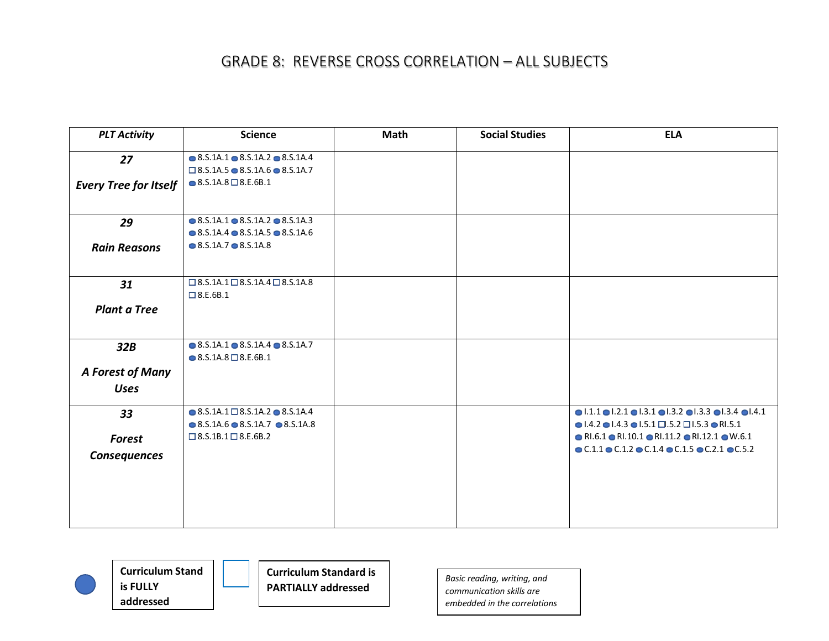| <b>PLT Activity</b>          | <b>Science</b>                                                                                 | <b>Math</b> | <b>Social Studies</b> | <b>ELA</b>                                                                                                      |
|------------------------------|------------------------------------------------------------------------------------------------|-------------|-----------------------|-----------------------------------------------------------------------------------------------------------------|
| 27                           | $\bullet$ 8.S.1A.1 $\bullet$ 8.S.1A.2 $\bullet$ 8.S.1A.4                                       |             |                       |                                                                                                                 |
|                              | $\Box$ 8.S.1A.5 $\bullet$ 8.S.1A.6 $\bullet$ 8.S.1A.7                                          |             |                       |                                                                                                                 |
| <b>Every Tree for Itself</b> | $\bullet$ 8.S.1A.8 $\Box$ 8.E.6B.1                                                             |             |                       |                                                                                                                 |
|                              |                                                                                                |             |                       |                                                                                                                 |
| 29                           | $\bullet$ 8.5.1A.1 $\bullet$ 8.5.1A.2 $\bullet$ 8.5.1A.3                                       |             |                       |                                                                                                                 |
|                              | $\bullet$ 8.5.1A.4 $\bullet$ 8.5.1A.5 $\bullet$ 8.5.1A.6                                       |             |                       |                                                                                                                 |
| <b>Rain Reasons</b>          | $\bullet$ 8.5.1A.7 $\bullet$ 8.5.1A.8                                                          |             |                       |                                                                                                                 |
|                              |                                                                                                |             |                       |                                                                                                                 |
| 31                           | $\Box$ 8.S.1A.1 $\Box$ 8.S.1A.4 $\Box$ 8.S.1A.8                                                |             |                       |                                                                                                                 |
|                              | $\Box$ 8.E.6B.1                                                                                |             |                       |                                                                                                                 |
| <b>Plant a Tree</b>          |                                                                                                |             |                       |                                                                                                                 |
|                              |                                                                                                |             |                       |                                                                                                                 |
| 32B                          | $\bullet$ 8.S.1A.1 $\bullet$ 8.S.1A.4 $\bullet$ 8.S.1A.7<br>$\bullet$ 8.5.1A.8 $\Box$ 8.E.6B.1 |             |                       |                                                                                                                 |
|                              |                                                                                                |             |                       |                                                                                                                 |
| A Forest of Many             |                                                                                                |             |                       |                                                                                                                 |
| <b>Uses</b>                  |                                                                                                |             |                       |                                                                                                                 |
| 33                           | $\bullet$ 8.S.1A.1 $\Box$ 8.S.1A.2 $\bullet$ 8.S.1A.4                                          |             |                       | $\bullet$  .1.1 $\bullet$  .2.1 $\bullet$  .3.1 $\bullet$  .3.2 $\bullet$  .3.3 $\bullet$  .3.4 $\bullet$  .4.1 |
|                              | $\bullet$ 8.5.1A.6 $\bullet$ 8.5.1A.7 $\bullet$ 8.5.1A.8                                       |             |                       | $\bullet$ 1.4.2 $\bullet$ 1.4.3 $\bullet$ 1.5.1 $\Box$ .5.2 $\Box$ 1.5.3 $\bullet$ RI.5.1                       |
| <b>Forest</b>                | $\square$ 8.5.1B.1 $\square$ 8.E.6B.2                                                          |             |                       | $\bullet$ RI.6.1 $\bullet$ RI.10.1 $\bullet$ RI.11.2 $\bullet$ RI.12.1 $\bullet$ W.6.1                          |
| <b>Consequences</b>          |                                                                                                |             |                       | $\bullet$ C.1.1 $\bullet$ C.1.2 $\bullet$ C.1.4 $\bullet$ C.1.5 $\bullet$ C.2.1 $\bullet$ C.5.2                 |
|                              |                                                                                                |             |                       |                                                                                                                 |
|                              |                                                                                                |             |                       |                                                                                                                 |
|                              |                                                                                                |             |                       |                                                                                                                 |
|                              |                                                                                                |             |                       |                                                                                                                 |
|                              |                                                                                                |             |                       |                                                                                                                 |



**Curriculum Standard is PARTIALLY addressed**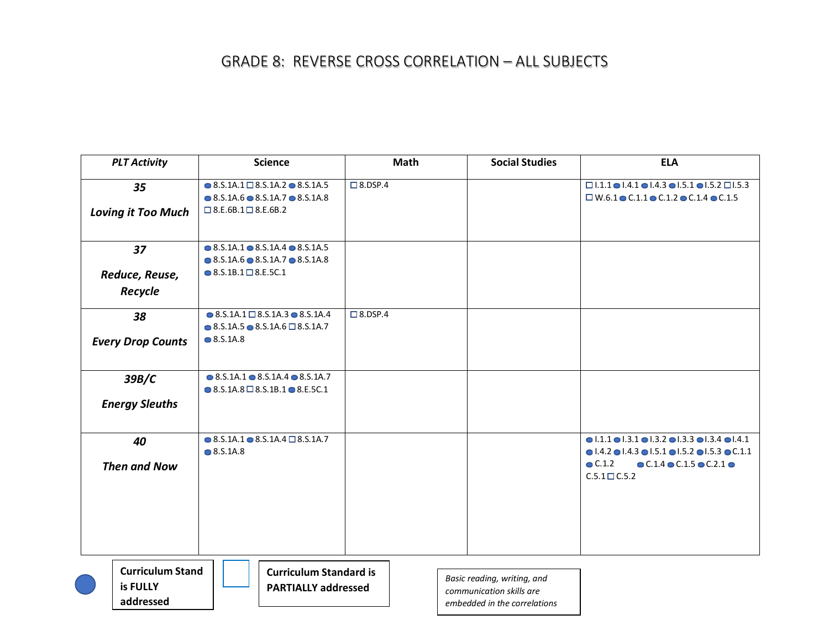| <b>PLT Activity</b>                              | <b>Science</b>                                                                                                                                                | <b>Math</b>    | <b>Social Studies</b>                                                                   | <b>ELA</b>                                                                                                                                                                                                                                                                                        |
|--------------------------------------------------|---------------------------------------------------------------------------------------------------------------------------------------------------------------|----------------|-----------------------------------------------------------------------------------------|---------------------------------------------------------------------------------------------------------------------------------------------------------------------------------------------------------------------------------------------------------------------------------------------------|
| 35<br><b>Loving it Too Much</b>                  | $\bullet$ 8.S.1A.1 $\square$ 8.S.1A.2 $\bullet$ 8.S.1A.5<br>$\bullet$ 8.S.1A.6 $\bullet$ 8.S.1A.7 $\bullet$ 8.S.1A.8<br>$\square$ 8.E.6B.1 $\square$ 8.E.6B.2 | $\Box$ 8.DSP.4 |                                                                                         | $\Box$ 1.1.1 $\bigcirc$ 1.4.1 $\bigcirc$ 1.4.3 $\bigcirc$ 1.5.1 $\bigcirc$ 1.5.2 $\Box$ 1.5.3<br>$\Box$ W.6.1 $\odot$ C.1.1 $\odot$ C.1.2 $\odot$ C.1.4 $\odot$ C.1.5                                                                                                                             |
| 37<br>Reduce, Reuse,<br>Recycle                  | $\bullet$ 8.S.1A.1 $\bullet$ 8.S.1A.4 $\bullet$ 8.S.1A.5<br>$\bullet$ 8.5.1A.6 $\bullet$ 8.5.1A.7 $\bullet$ 8.5.1A.8<br>$\bullet$ 8.S.1B.1 $\square$ 8.E.5C.1 |                |                                                                                         |                                                                                                                                                                                                                                                                                                   |
| 38<br><b>Every Drop Counts</b>                   | $\bullet$ 8.5.1A.1 $\Box$ 8.5.1A.3 $\bullet$ 8.5.1A.4<br>$\bullet$ 8.S.1A.5 $\bullet$ 8.S.1A.6 $\Box$ 8.S.1A.7<br>$\bullet$ 8.S.1A.8                          | $\Box$ 8.DSP.4 |                                                                                         |                                                                                                                                                                                                                                                                                                   |
| 39B/C<br><b>Energy Sleuths</b>                   | $\bullet$ 8.5.1A.1 $\bullet$ 8.5.1A.4 $\bullet$ 8.5.1A.7<br>$\bullet$ 8.S.1A.8 $\Box$ 8.S.1B.1 $\bullet$ 8.E.5C.1                                             |                |                                                                                         |                                                                                                                                                                                                                                                                                                   |
| 40<br><b>Then and Now</b>                        | $\bullet$ 8.S.1A.1 $\bullet$ 8.S.1A.4 $\Box$ 8.S.1A.7<br>$\bullet$ 8.S.1A.8                                                                                   |                |                                                                                         | $\bullet$ 1.1.1 $\bullet$ 1.3.1 $\bullet$ 1.3.2 $\bullet$ 1.3.3 $\bullet$ 1.3.4 $\bullet$ 1.4.1<br>$\bullet$ 1.4.2 $\bullet$ 1.4.3 $\bullet$ 1.5.1 $\bullet$ 1.5.2 $\bullet$ 1.5.3 $\bullet$ C.1.1<br>C.1.2<br>$\bullet$ C.1.4 $\bullet$ C.1.5 $\bullet$ C.2.1 $\bullet$<br>$C.5.1 \square C.5.2$ |
| <b>Curriculum Stand</b><br>is FULLY<br>addressed | <b>Curriculum Standard is</b><br><b>PARTIALLY addressed</b>                                                                                                   |                | Basic reading, writing, and<br>communication skills are<br>embedded in the correlations |                                                                                                                                                                                                                                                                                                   |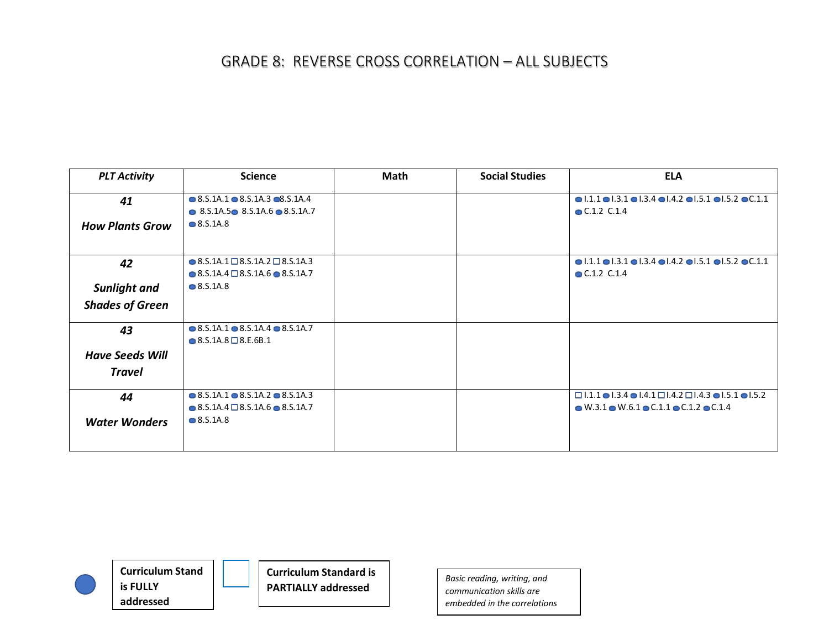| <b>PLT Activity</b>    | <b>Science</b>                                                                                                       | Math | <b>Social Studies</b> | <b>ELA</b>                                                                                                                     |
|------------------------|----------------------------------------------------------------------------------------------------------------------|------|-----------------------|--------------------------------------------------------------------------------------------------------------------------------|
| 41                     | $\bullet$ 8.5.1A.1 $\bullet$ 8.5.1A.3 $\bullet$ 8.5.1A.4<br>$\bullet$ 8.5.1A.5 $\bullet$ 8.5.1A.6 $\bullet$ 8.5.1A.7 |      |                       | $\bullet$ 1.1.1 $\bullet$ 1.3.1 $\bullet$ 1.3.4 $\bullet$ 1.4.2 $\bullet$ 1.5.1 $\bullet$ 1.5.2 $\bullet$ C.1.1<br>C.1.2 C.1.4 |
| <b>How Plants Grow</b> | $\bullet$ 8.S.1A.8                                                                                                   |      |                       |                                                                                                                                |
| 42                     | $\bullet$ 8.S.1A.1 $\Box$ 8.S.1A.2 $\Box$ 8.S.1A.3<br>$\bullet$ 8.5.1A.4 $\Box$ 8.5.1A.6 $\bullet$ 8.5.1A.7          |      |                       | $\bullet$ 1.1.1 $\bullet$ 1.3.1 $\bullet$ 1.3.4 $\bullet$ 1.4.2 $\bullet$ 1.5.1 $\bullet$ 1.5.2 $\bullet$ C.1.1<br>C.1.2 C.1.4 |
| <b>Sunlight and</b>    | $\bullet$ 8.S.1A.8                                                                                                   |      |                       |                                                                                                                                |
| <b>Shades of Green</b> |                                                                                                                      |      |                       |                                                                                                                                |
| 43                     | $\bullet$ 8.5.1A.1 $\bullet$ 8.5.1A.4 $\bullet$ 8.5.1A.7<br>$\bullet$ 8.5.1A.8 $\Box$ 8.E.6B.1                       |      |                       |                                                                                                                                |
| <b>Have Seeds Will</b> |                                                                                                                      |      |                       |                                                                                                                                |
| <b>Travel</b>          |                                                                                                                      |      |                       |                                                                                                                                |
| 44                     | $\bullet$ 8.5.1A.1 $\bullet$ 8.5.1A.2 $\bullet$ 8.5.1A.3                                                             |      |                       | $\Box$ 1.1.1 $\bullet$ 1.3.4 $\bullet$ 1.4.1 $\Box$ 1.4.2 $\Box$ 1.4.3 $\bullet$ 1.5.1 $\bullet$ 1.5.2                         |
|                        | $\bullet$ 8.S.1A.4 $\Box$ 8.S.1A.6 $\bullet$ 8.S.1A.7                                                                |      |                       | $\bullet$ W.3.1 $\bullet$ W.6.1 $\bullet$ C.1.1 $\bullet$ C.1.2 $\bullet$ C.1.4                                                |
| <b>Water Wonders</b>   | $\bullet$ 8.S.1A.8                                                                                                   |      |                       |                                                                                                                                |



**Curriculum Standard is PARTIALLY addressed**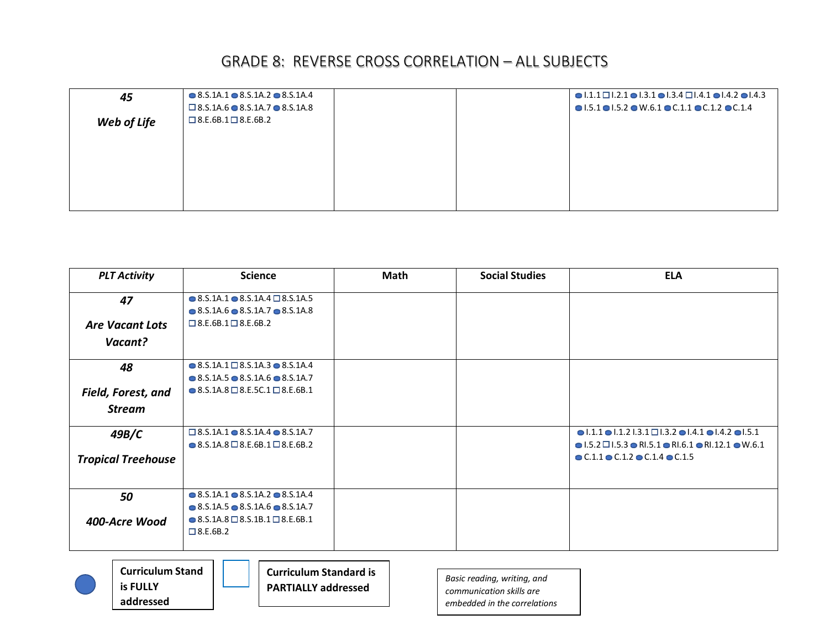| 45          | $\bullet$ 8.5.1A.1 $\bullet$ 8.5.1A.2 $\bullet$ 8.5.1A.4 |  | $\bullet$ 1.1.1 $\Box$ 1.2.1 $\bullet$ 1.3.1 $\bullet$ 1.3.4 $\Box$ 1.4.1 $\bullet$ 1.4.2 $\bullet$ 1.4.3 |
|-------------|----------------------------------------------------------|--|-----------------------------------------------------------------------------------------------------------|
|             | $\square$ 8.5.1A.6 $\bullet$ 8.5.1A.7 $\bullet$ 8.5.1A.8 |  | $\bullet$ 1.5.1 $\bullet$ 1.5.2 $\bullet$ W.6.1 $\bullet$ C.1.1 $\bullet$ C.1.2 $\bullet$ C.1.4           |
| Web of Life | $\square$ 8.E.6B.1 $\square$ 8.E.6B.2                    |  |                                                                                                           |
|             |                                                          |  |                                                                                                           |
|             |                                                          |  |                                                                                                           |
|             |                                                          |  |                                                                                                           |
|             |                                                          |  |                                                                                                           |
|             |                                                          |  |                                                                                                           |
|             |                                                          |  |                                                                                                           |
|             |                                                          |  |                                                                                                           |

| <b>PLT Activity</b>       | <b>Science</b>                                                                                                                    | Math | <b>Social Studies</b> | <b>ELA</b>                                                                                                                                                                                             |
|---------------------------|-----------------------------------------------------------------------------------------------------------------------------------|------|-----------------------|--------------------------------------------------------------------------------------------------------------------------------------------------------------------------------------------------------|
| 47                        | $\bullet$ 8.5.1A.1 $\bullet$ 8.5.1A.4 $\Box$ 8.5.1A.5<br>$\bullet$ 8.5.1A.6 $\bullet$ 8.5.1A.7 $\bullet$ 8.5.1A.8                 |      |                       |                                                                                                                                                                                                        |
| <b>Are Vacant Lots</b>    | $\Box$ 8.E.6B.1 $\Box$ 8.E.6B.2                                                                                                   |      |                       |                                                                                                                                                                                                        |
| Vacant?                   |                                                                                                                                   |      |                       |                                                                                                                                                                                                        |
| 48                        | $\bullet$ 8.5.1A.1 $\Box$ 8.5.1A.3 $\bullet$ 8.5.1A.4<br>$\bullet$ 8.5.1A.5 $\bullet$ 8.5.1A.6 $\bullet$ 8.5.1A.7                 |      |                       |                                                                                                                                                                                                        |
| <b>Field, Forest, and</b> | ● 8.S.1A.8 $\Box$ 8.E.5C.1 $\Box$ 8.E.6B.1                                                                                        |      |                       |                                                                                                                                                                                                        |
| <b>Stream</b>             |                                                                                                                                   |      |                       |                                                                                                                                                                                                        |
| 49B/C                     | $\square$ 8.5.1A.1 $\odot$ 8.5.1A.4 $\odot$ 8.5.1A.7<br>$\bullet$ 8.S.1A.8 $\Box$ 8.E.6B.1 $\Box$ 8.E.6B.2                        |      |                       | $\bullet$ 1.1.1 $\bullet$ 1.1.2 1.3.1 $\Box$ 1.3.2 $\bullet$ 1.4.1 $\bullet$ 1.4.2 $\bullet$ 1.5.1<br>$\bullet$ 1.5.2 $\Box$ 1.5.3 $\bullet$ RI.5.1 $\bullet$ RI.6.1 $\bullet$ RI.12.1 $\bullet$ W.6.1 |
| <b>Tropical Treehouse</b> |                                                                                                                                   |      |                       | $\bullet$ C.1.1 $\bullet$ C.1.2 $\bullet$ C.1.4 $\bullet$ C.1.5                                                                                                                                        |
| 50                        | $\bullet$ 8.5.1A.1 $\bullet$ 8.5.1A.2 $\bullet$ 8.5.1A.4                                                                          |      |                       |                                                                                                                                                                                                        |
| 400-Acre Wood             | $\bullet$ 8.5.1A.5 $\bullet$ 8.5.1A.6 $\bullet$ 8.5.1A.7<br>$\bullet$ 8.S.1A.8 $\Box$ 8.S.1B.1 $\Box$ 8.E.6B.1<br>$\Box$ 8.E.6B.2 |      |                       |                                                                                                                                                                                                        |



**Curriculum Stand is FULLY addressed**

**Curriculum Standard is PARTIALLY addressed**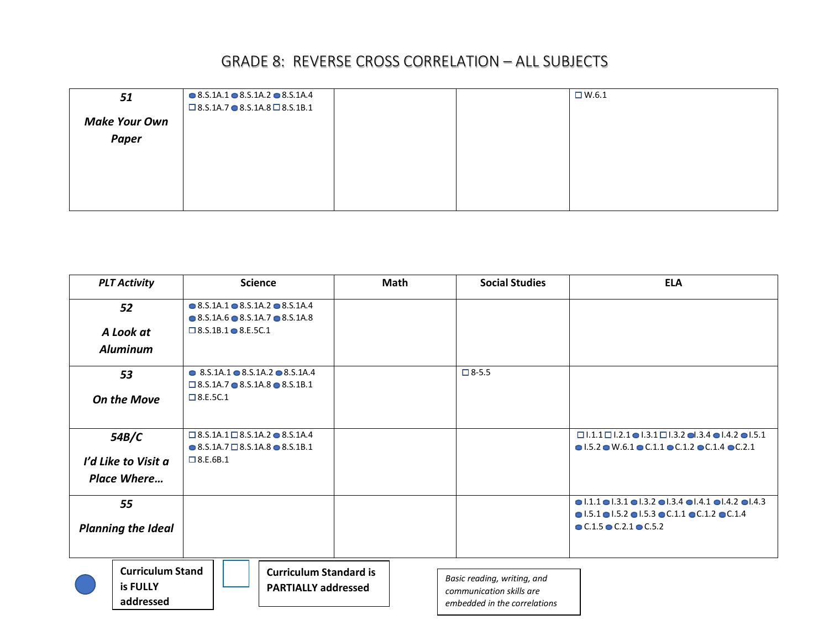| 51                   | $\bullet$ 8.5.1A.1 $\bullet$ 8.5.1A.2 $\bullet$ 8.5.1A.4<br>$\Box$ 8.S.1A.7 $\bullet$ 8.S.1A.8 $\Box$ 8.S.1B.1 |  | $\Box$ W.6.1 |
|----------------------|----------------------------------------------------------------------------------------------------------------|--|--------------|
| <b>Make Your Own</b> |                                                                                                                |  |              |
| Paper                |                                                                                                                |  |              |
|                      |                                                                                                                |  |              |
|                      |                                                                                                                |  |              |
|                      |                                                                                                                |  |              |
|                      |                                                                                                                |  |              |

| <b>PLT Activity</b>                              | <b>Science</b>                                                                                                       | Math | <b>Social Studies</b>                                                                   | <b>ELA</b>                                                                                                      |
|--------------------------------------------------|----------------------------------------------------------------------------------------------------------------------|------|-----------------------------------------------------------------------------------------|-----------------------------------------------------------------------------------------------------------------|
| 52                                               | $\bullet$ 8.5.1A.1 $\bullet$ 8.5.1A.2 $\bullet$ 8.5.1A.4<br>$\bullet$ 8.5.1A.6 $\bullet$ 8.5.1A.7 $\bullet$ 8.5.1A.8 |      |                                                                                         |                                                                                                                 |
| A Look at                                        | $\Box$ 8.S.1B.1 $\bigcirc$ 8.E.5C.1                                                                                  |      |                                                                                         |                                                                                                                 |
| <b>Aluminum</b>                                  |                                                                                                                      |      |                                                                                         |                                                                                                                 |
| 53                                               | $\bullet$ 8.5.1A.1 $\bullet$ 8.5.1A.2 $\bullet$ 8.5.1A.4                                                             |      | $\square$ 8-5.5                                                                         |                                                                                                                 |
|                                                  | $\Box$ 8.S.1A.7 $\bullet$ 8.S.1A.8 $\bullet$ 8.S.1B.1                                                                |      |                                                                                         |                                                                                                                 |
| <b>On the Move</b>                               | $\Box$ 8.E.5C.1                                                                                                      |      |                                                                                         |                                                                                                                 |
|                                                  |                                                                                                                      |      |                                                                                         |                                                                                                                 |
| 54B/C                                            | $\Box$ 8.5.1A.1 $\Box$ 8.5.1A.2 $\bullet$ 8.5.1A.4                                                                   |      |                                                                                         | $\Box$ 1.1.1 $\Box$ 1.2.1 $\bigcirc$ 1.3.1 $\Box$ 1.3.2 $\bigcirc$ 1.3.4 $\bigcirc$ 1.4.2 $\bigcirc$ 1.5.1      |
|                                                  | $\bullet$ 8.S.1A.7 $\Box$ 8.S.1A.8 $\bullet$ 8.S.1B.1                                                                |      |                                                                                         | $\bullet$ 1.5.2 $\bullet$ W.6.1 $\bullet$ C.1.1 $\bullet$ C.1.2 $\bullet$ C.1.4 $\bullet$ C.2.1                 |
| I'd Like to Visit a                              | $\Box$ 8.E.6B.1                                                                                                      |      |                                                                                         |                                                                                                                 |
| <b>Place Where</b>                               |                                                                                                                      |      |                                                                                         |                                                                                                                 |
| 55                                               |                                                                                                                      |      |                                                                                         | $\bullet$ 1.1.1 $\bullet$ 1.3.1 $\bullet$ 1.3.2 $\bullet$ 1.3.4 $\bullet$ 1.4.1 $\bullet$ 1.4.2 $\bullet$ 1.4.3 |
|                                                  |                                                                                                                      |      |                                                                                         | $\bullet$ 1.5.1 $\bullet$ 1.5.2 $\bullet$ 1.5.3 $\bullet$ C.1.1 $\bullet$ C.1.2 $\bullet$ C.1.4                 |
| <b>Planning the Ideal</b>                        |                                                                                                                      |      |                                                                                         | $C.1.5$ $C.2.1$ $C.5.2$                                                                                         |
|                                                  |                                                                                                                      |      |                                                                                         |                                                                                                                 |
| <b>Curriculum Stand</b><br>is FULLY<br>addressed | <b>Curriculum Standard is</b><br><b>PARTIALLY addressed</b>                                                          |      | Basic reading, writing, and<br>communication skills are<br>embedded in the correlations |                                                                                                                 |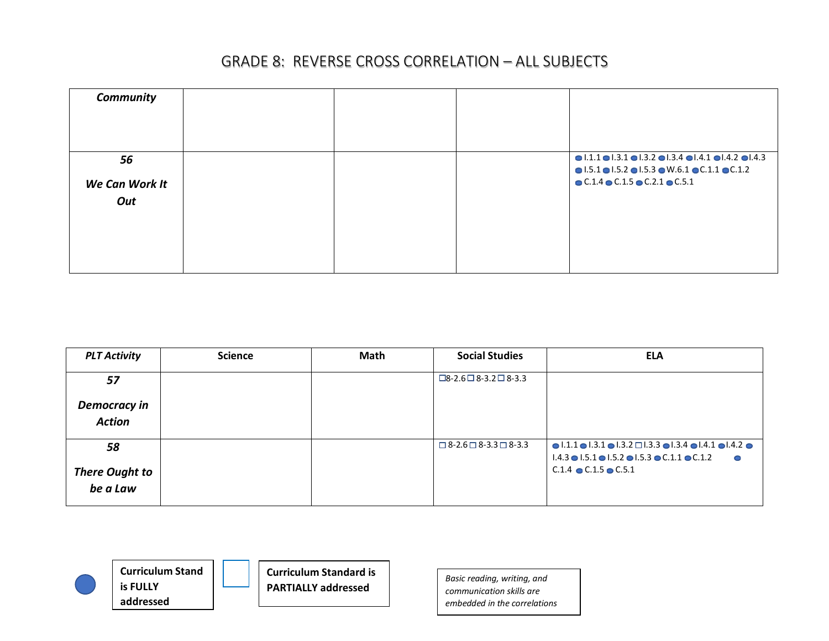| Community                   |  |                                                                                                                                                                                                                                                                                       |
|-----------------------------|--|---------------------------------------------------------------------------------------------------------------------------------------------------------------------------------------------------------------------------------------------------------------------------------------|
| 56<br>We Can Work It<br>Out |  | $\bullet$ 1.1.1 $\bullet$ 1.3.1 $\bullet$ 1.3.2 $\bullet$ 1.3.4 $\bullet$ 1.4.1 $\bullet$ 1.4.2 $\bullet$ 1.4.3<br>$\bullet$ 1.5.1 $\bullet$ 1.5.2 $\bullet$ 1.5.3 $\bullet$ W.6.1 $\bullet$ C.1.1 $\bullet$ C.1.2<br>$\bullet$ C.1.4 $\bullet$ C.1.5 $\bullet$ C.2.1 $\bullet$ C.5.1 |

| <b>PLT Activity</b>               | <b>Science</b> | Math | <b>Social Studies</b>                  | <b>ELA</b>                                                                                                                                                                                                            |
|-----------------------------------|----------------|------|----------------------------------------|-----------------------------------------------------------------------------------------------------------------------------------------------------------------------------------------------------------------------|
| 57                                |                |      | $\Box$ 8-2.6 $\Box$ 8-3.2 $\Box$ 8-3.3 |                                                                                                                                                                                                                       |
| Democracy in<br><b>Action</b>     |                |      |                                        |                                                                                                                                                                                                                       |
| 58                                |                |      | $\Box$ 8-2.6 $\Box$ 8-3.3 $\Box$ 8-3.3 | $\bullet$ 1.1.1 $\bullet$ 1.3.1 $\bullet$ 1.3.2 $\Box$ 1.3.3 $\bullet$ 1.3.4 $\bullet$ 1.4.1 $\bullet$ 1.4.2 $\bullet$<br>$1.4.3 \bullet 1.5.1 \bullet 1.5.2 \bullet 1.5.3 \bullet C.1.1 \bullet C.1.2$<br>$\sqrt{2}$ |
| <b>There Ought to</b><br>be a Law |                |      |                                        | $C.1.4$ $\bullet$ $C.1.5$ $\bullet$ $C.5.1$                                                                                                                                                                           |



**Curriculum Standard is PARTIALLY addressed**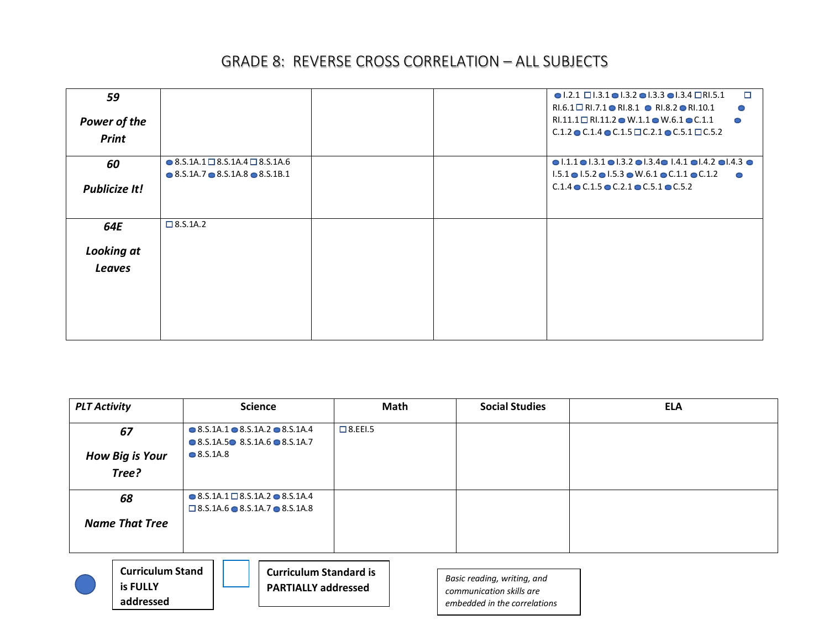| 59                   |                                                          |  | $\Box$<br>$\bullet$ 1.2.1 $\Box$ 1.3.1 $\bullet$ 1.3.2 $\bullet$ 1.3.3 $\bullet$ 1.3.4 $\Box$ RI.5.1                      |
|----------------------|----------------------------------------------------------|--|---------------------------------------------------------------------------------------------------------------------------|
|                      |                                                          |  | RI.6.1 $\Box$ RI.7.1 $\bullet$ RI.8.1 $\bullet$ RI.8.2 $\bullet$ RI.10.1<br>0                                             |
| Power of the         |                                                          |  | RI.11.1 $\Box$ RI.11.2 $\bullet$ W.1.1 $\bullet$ W.6.1 $\bullet$ C.1.1<br>$\bullet$                                       |
| Print                |                                                          |  | $C.1.2 \odot C.1.4 \odot C.1.5 \Box C.2.1 \odot C.5.1 \Box C.5.2$                                                         |
|                      |                                                          |  |                                                                                                                           |
| 60                   | $\bullet$ 8.S.1A.1 $\Box$ 8.S.1A.4 $\Box$ 8.S.1A.6       |  | $\bullet$ 1.1.1 $\bullet$ 1.3.1 $\bullet$ 1.3.2 $\bullet$ 1.3.4 $\bullet$ 1.4.1 $\bullet$ 1.4.2 $\bullet$ 1.4.3 $\bullet$ |
|                      | $\bullet$ 8.5.1A.7 $\bullet$ 8.5.1A.8 $\bullet$ 8.5.1B.1 |  | $1.5.1 \bullet 1.5.2 \bullet 1.5.3 \bullet W.6.1 \bullet C.1.1 \bullet C.1.2$<br>$\bullet$                                |
| <b>Publicize It!</b> |                                                          |  | $C.1.4$ $\odot$ $C.1.5$ $\odot$ $C.2.1$ $\odot$ $C.5.1$ $\odot$ $C.5.2$                                                   |
|                      |                                                          |  |                                                                                                                           |
|                      |                                                          |  |                                                                                                                           |
| 64E                  | $\Box$ 8.S.1A.2                                          |  |                                                                                                                           |
| <b>Looking at</b>    |                                                          |  |                                                                                                                           |
|                      |                                                          |  |                                                                                                                           |
| <b>Leaves</b>        |                                                          |  |                                                                                                                           |
|                      |                                                          |  |                                                                                                                           |
|                      |                                                          |  |                                                                                                                           |
|                      |                                                          |  |                                                                                                                           |
|                      |                                                          |  |                                                                                                                           |
|                      |                                                          |  |                                                                                                                           |

| <b>PLT Activity</b>                                                                   | <b>Science</b>                                           | Math           | <b>Social Studies</b> | <b>ELA</b> |  |  |
|---------------------------------------------------------------------------------------|----------------------------------------------------------|----------------|-----------------------|------------|--|--|
| 67                                                                                    | $\bullet$ 8.5.1A.1 $\bullet$ 8.5.1A.2 $\bullet$ 8.5.1A.4 | $\Box$ 8.EEI.5 |                       |            |  |  |
|                                                                                       | $\bullet$ 8.5.1A.5 $\bullet$ 8.5.1A.6 $\bullet$ 8.5.1A.7 |                |                       |            |  |  |
| <b>How Big is Your</b>                                                                | $\bullet$ 8.S.1A.8                                       |                |                       |            |  |  |
| Tree?                                                                                 |                                                          |                |                       |            |  |  |
| 68                                                                                    | $\bullet$ 8.S.1A.1 $\Box$ 8.S.1A.2 $\bullet$ 8.S.1A.4    |                |                       |            |  |  |
|                                                                                       | $\square$ 8.5.1A.6 $\bullet$ 8.5.1A.7 $\bullet$ 8.5.1A.8 |                |                       |            |  |  |
| <b>Name That Tree</b>                                                                 |                                                          |                |                       |            |  |  |
|                                                                                       |                                                          |                |                       |            |  |  |
| <b>Curriculum Stand</b><br><b>Curriculum Standard is</b><br>Racic reading writing and |                                                          |                |                       |            |  |  |

**is FULLY addressed** **PARTIALLY addressed**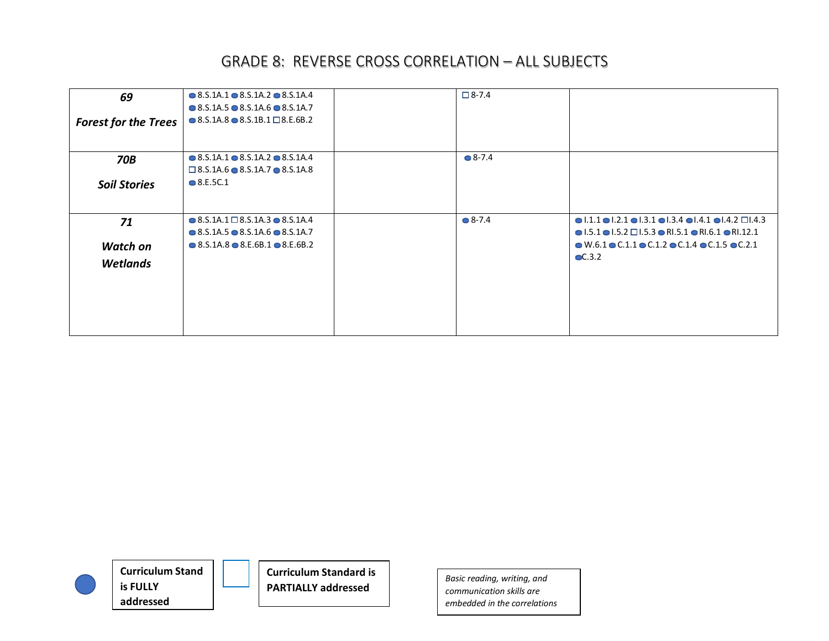| 69<br><b>Forest for the Trees</b> | $\bullet$ 8.5.1A.1 $\bullet$ 8.5.1A.2 $\bullet$ 8.5.1A.4<br>$\bullet$ 8.5.1A.5 $\bullet$ 8.5.1A.6 $\bullet$ 8.5.1A.7<br>$\bullet$ 8.S.1A.8 $\bullet$ 8.S.1B.1 $\Box$ 8.E.6B.2 | $\Box$ 8-7.4    |                                                                                                                                                                                                                  |
|-----------------------------------|-------------------------------------------------------------------------------------------------------------------------------------------------------------------------------|-----------------|------------------------------------------------------------------------------------------------------------------------------------------------------------------------------------------------------------------|
| <b>70B</b>                        | $\bullet$ 8.5.1A.1 $\bullet$ 8.5.1A.2 $\bullet$ 8.5.1A.4<br>$\Box$ 8.S.1A.6 $\bullet$ 8.S.1A.7 $\bullet$ 8.S.1A.8                                                             | $\bullet$ 8-7.4 |                                                                                                                                                                                                                  |
| <b>Soil Stories</b>               | $\bullet$ 8.E.5C.1                                                                                                                                                            |                 |                                                                                                                                                                                                                  |
| 71                                | $\bullet$ 8.5.1A.1 $\Box$ 8.5.1A.3 $\bullet$ 8.5.1A.4<br>$\bullet$ 8.5.1A.5 $\bullet$ 8.5.1A.6 $\bullet$ 8.5.1A.7                                                             | $\bullet$ 8-7.4 | $\bullet$ 1.1.1 $\bullet$ 1.2.1 $\bullet$ 1.3.1 $\bullet$ 1.3.4 $\bullet$ 1.4.1 $\bullet$ 1.4.2 $\Box$ 1.4.3<br>$\bullet$ 1.5.1 $\bullet$ 1.5.2 $\Box$ 1.5.3 $\bullet$ RI.5.1 $\bullet$ RI.6.1 $\bullet$ RI.12.1 |
| <b>Watch on</b>                   | $\bullet$ 8.5.1A.8 $\bullet$ 8.E.6B.1 $\bullet$ 8.E.6B.2                                                                                                                      |                 | $\bullet$ W.6.1 $\bullet$ C.1.1 $\bullet$ C.1.2 $\bullet$ C.1.4 $\bullet$ C.1.5 $\bullet$ C.2.1                                                                                                                  |
| <b>Wetlands</b>                   |                                                                                                                                                                               |                 | $\bullet$ C.3.2                                                                                                                                                                                                  |



**Curriculum Standard is PARTIALLY addressed**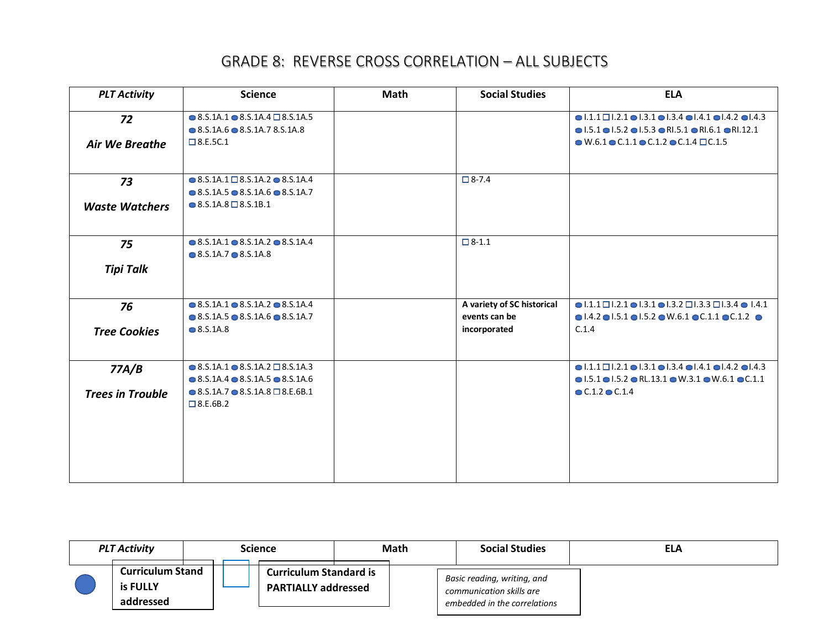| <b>PLT Activity</b>     | <b>Science</b>                                                                                                                       | <b>Math</b> | <b>Social Studies</b>                       | <b>ELA</b>                                                                                                                                                                                                          |
|-------------------------|--------------------------------------------------------------------------------------------------------------------------------------|-------------|---------------------------------------------|---------------------------------------------------------------------------------------------------------------------------------------------------------------------------------------------------------------------|
| 72                      | $\bullet$ 8.S.1A.1 $\bullet$ 8.S.1A.4 $\Box$ 8.S.1A.5<br>$\bullet$ 8.5.1A.6 $\bullet$ 8.5.1A.7 8.5.1A.8                              |             |                                             | $\bullet$ 1.1.1 $\Box$ 1.2.1 $\bullet$ 1.3.1 $\bullet$ 1.3.4 $\bullet$ 1.4.1 $\bullet$ 1.4.2 $\bullet$ 1.4.3<br>$\bullet$ 1.5.1 $\bullet$ 1.5.2 $\bullet$ 1.5.3 $\bullet$ RI.5.1 $\bullet$ RI.6.1 $\bullet$ RI.12.1 |
| <b>Air We Breathe</b>   | $\Box$ 8.E.5C.1                                                                                                                      |             |                                             | $\bullet$ W.6.1 $\bullet$ C.1.1 $\bullet$ C.1.2 $\bullet$ C.1.4 $\Box$ C.1.5                                                                                                                                        |
| 73                      | $\bullet$ 8.S.1A.1 $\square$ 8.S.1A.2 $\bullet$ 8.S.1A.4<br>$\bullet$ 8.5.1A.5 $\bullet$ 8.5.1A.6 $\bullet$ 8.5.1A.7                 |             | $\Box$ 8-7.4                                |                                                                                                                                                                                                                     |
| <b>Waste Watchers</b>   | $\bullet$ 8.S.1A.8 $\Box$ 8.S.1B.1                                                                                                   |             |                                             |                                                                                                                                                                                                                     |
| 75                      | $\bullet$ 8.S.1A.1 $\bullet$ 8.S.1A.2 $\bullet$ 8.S.1A.4<br>$\bullet$ 8.5.1A.7 $\bullet$ 8.5.1A.8                                    |             | $\Box$ 8-1.1                                |                                                                                                                                                                                                                     |
| <b>Tipi Talk</b>        |                                                                                                                                      |             |                                             |                                                                                                                                                                                                                     |
| 76                      | $\bullet$ 8.S.1A.1 $\bullet$ 8.S.1A.2 $\bullet$ 8.S.1A.4<br>$\bullet$ 8.5.1A.5 $\bullet$ 8.5.1A.6 $\bullet$ 8.5.1A.7                 |             | A variety of SC historical<br>events can be | $\bullet$ 1.1.1 $\Box$ 1.2.1 $\bullet$ 1.3.1 $\bullet$ 1.3.2 $\Box$ 1.3.3 $\Box$ 1.3.4 $\bullet$ 1.4.1<br>$\bullet$ 1.4.2 $\bullet$ 1.5.1 $\bullet$ 1.5.2 $\bullet$ W.6.1 $\bullet$ C.1.1 $\bullet$ C.1.2 $\bullet$ |
| <b>Tree Cookies</b>     | $\bullet$ 8.S.1A.8                                                                                                                   |             | incorporated                                | C.1.4                                                                                                                                                                                                               |
| 77A/B                   | $\bullet$ 8.S.1A.1 $\bullet$ 8.S.1A.2 $\Box$ 8.S.1A.3                                                                                |             |                                             | $\bullet$ 1.1.1 $\Box$ 1.2.1 $\bullet$ 1.3.1 $\bullet$ 1.3.4 $\bullet$ 1.4.1 $\bullet$ 1.4.2 $\bullet$ 1.4.3                                                                                                        |
| <b>Trees in Trouble</b> | $\bullet$ 8.5.1A.4 $\bullet$ 8.5.1A.5 $\bullet$ 8.5.1A.6<br>$\bullet$ 8.S.1A.7 $\bullet$ 8.S.1A.8 $\Box$ 8.E.6B.1<br>$\Box$ 8.E.6B.2 |             |                                             | $\bullet$ 1.5.1 $\bullet$ 1.5.2 $\bullet$ RL.13.1 $\bullet$ W.3.1 $\bullet$ W.6.1 $\bullet$ C.1.1<br>$\bullet$ C.1.2 $\bullet$ C.1.4                                                                                |
|                         |                                                                                                                                      |             |                                             |                                                                                                                                                                                                                     |
|                         |                                                                                                                                      |             |                                             |                                                                                                                                                                                                                     |

| <b>PLT Activity</b>                              |  | Science                                                     | Math | <b>Social Studies</b>                                                                   | <b>ELA</b> |
|--------------------------------------------------|--|-------------------------------------------------------------|------|-----------------------------------------------------------------------------------------|------------|
| <b>Curriculum Stand</b><br>is FULLY<br>addressed |  | <b>Curriculum Standard is</b><br><b>PARTIALLY addressed</b> |      | Basic reading, writing, and<br>communication skills are<br>embedded in the correlations |            |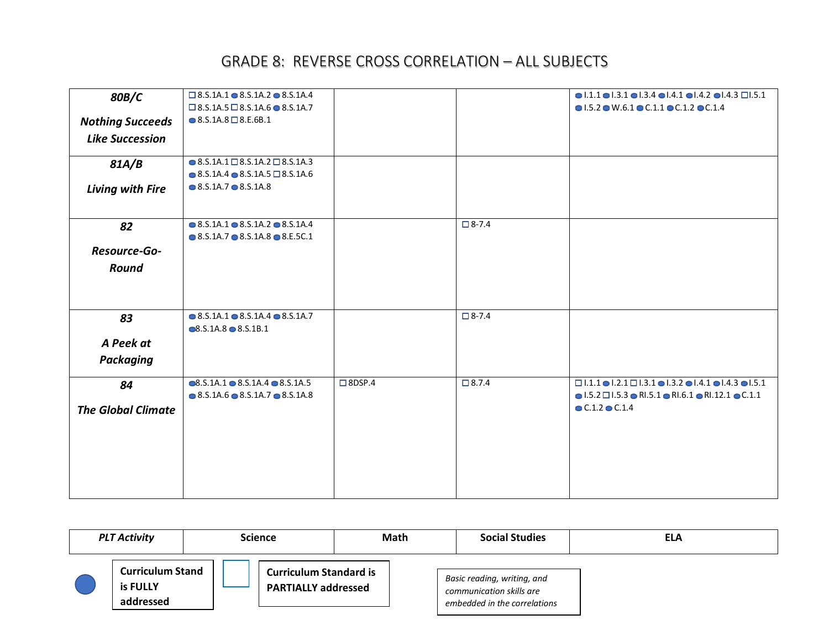| 80B/C                     | $\square$ 8.S.1A.1 $\odot$ 8.S.1A.2 $\odot$ 8.S.1A.4                                              |                  |              | $\bullet$  .1.1 $\bullet$  .3.1 $\bullet$  .3.4 $\bullet$  .4.1 $\bullet$  .4.2 $\bullet$  .4.3 $\Box$  .5.1 |
|---------------------------|---------------------------------------------------------------------------------------------------|------------------|--------------|--------------------------------------------------------------------------------------------------------------|
|                           | $\square$ 8.S.1A.5 $\square$ 8.S.1A.6 $\bullet$ 8.S.1A.7                                          |                  |              | $\bullet$ 1.5.2 $\bullet$ W.6.1 $\bullet$ C.1.1 $\bullet$ C.1.2 $\bullet$ C.1.4                              |
| <b>Nothing Succeeds</b>   | $\bullet$ 8.S.1A.8 $\Box$ 8.E.6B.1                                                                |                  |              |                                                                                                              |
| <b>Like Succession</b>    |                                                                                                   |                  |              |                                                                                                              |
| 81A/B                     | $\bullet$ 8.S.1A.1 $\Box$ 8.S.1A.2 $\Box$ 8.S.1A.3                                                |                  |              |                                                                                                              |
|                           | $\bullet$ 8.S.1A.4 $\bullet$ 8.S.1A.5 $\Box$ 8.S.1A.6                                             |                  |              |                                                                                                              |
| Living with Fire          | $\bullet$ 8.5.1A.7 $\bullet$ 8.5.1A.8                                                             |                  |              |                                                                                                              |
| 82                        | $\bullet$ 8.5.1A.1 $\bullet$ 8.5.1A.2 $\bullet$ 8.5.1A.4                                          |                  | $\Box$ 8-7.4 |                                                                                                              |
|                           | $\bullet$ 8.5.1A.7 $\bullet$ 8.5.1A.8 $\bullet$ 8.E.5C.1                                          |                  |              |                                                                                                              |
| Resource-Go-              |                                                                                                   |                  |              |                                                                                                              |
| Round                     |                                                                                                   |                  |              |                                                                                                              |
|                           |                                                                                                   |                  |              |                                                                                                              |
| 83                        | $\bullet$ 8.S.1A.1 $\bullet$ 8.S.1A.4 $\bullet$ 8.S.1A.7<br>$\bullet$ 8.S.1A.8 $\bullet$ 8.S.1B.1 |                  | $\Box$ 8-7.4 |                                                                                                              |
| A Peek at                 |                                                                                                   |                  |              |                                                                                                              |
| <b>Packaging</b>          |                                                                                                   |                  |              |                                                                                                              |
| 84                        | $\bullet$ 8.S.1A.1 $\bullet$ 8.S.1A.4 $\bullet$ 8.S.1A.5                                          | $\square$ 8DSP.4 | $\Box$ 8.7.4 | $\Box$ 1.1.1 $\bullet$ 1.2.1 $\Box$ 1.3.1 $\bullet$ 1.3.2 $\bullet$ 1.4.1 $\bullet$ 1.4.3 $\bullet$ 1.5.1    |
|                           | $\bullet$ 8.5.1A.6 $\bullet$ 8.5.1A.7 $\bullet$ 8.5.1A.8                                          |                  |              | $\bullet$ 1.5.2 $\Box$ 1.5.3 $\bullet$ RI.5.1 $\bullet$ RI.6.1 $\bullet$ RI.12.1 $\bullet$ C.1.1             |
| <b>The Global Climate</b> |                                                                                                   |                  |              | $\bullet$ C.1.2 $\bullet$ C.1.4                                                                              |
|                           |                                                                                                   |                  |              |                                                                                                              |
|                           |                                                                                                   |                  |              |                                                                                                              |
|                           |                                                                                                   |                  |              |                                                                                                              |
|                           |                                                                                                   |                  |              |                                                                                                              |
|                           |                                                                                                   |                  |              |                                                                                                              |

| <b>PLT Activity</b>                                     | Science |                                                             | Math | <b>Social Studies</b>                                                                   | ELA |
|---------------------------------------------------------|---------|-------------------------------------------------------------|------|-----------------------------------------------------------------------------------------|-----|
| <b>Curriculum Stand</b><br><b>is FULLY</b><br>addressed |         | <b>Curriculum Standard is</b><br><b>PARTIALLY addressed</b> |      | Basic reading, writing, and<br>communication skills are<br>embedded in the correlations |     |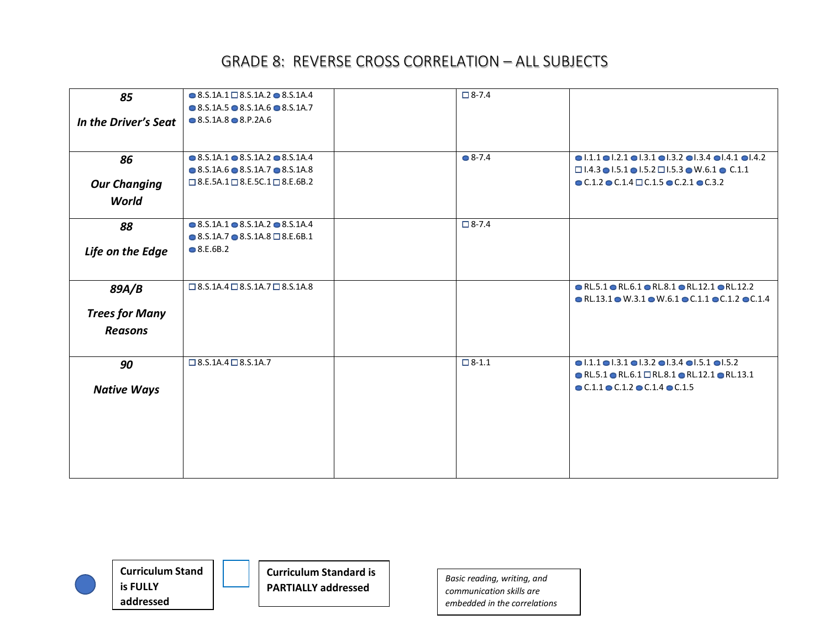| 85                    | $\bullet$ 8.S.1A.1 $\Box$ 8.S.1A.2 $\bullet$ 8.S.1A.4<br>$\bullet$ 8.5.1A.5 $\bullet$ 8.5.1A.6 $\bullet$ 8.5.1A.7 | $\Box$ 8-7.4      |                                                                                                                 |
|-----------------------|-------------------------------------------------------------------------------------------------------------------|-------------------|-----------------------------------------------------------------------------------------------------------------|
| In the Driver's Seat  | $\bullet$ 8.S.1A.8 $\bullet$ 8.P.2A.6                                                                             |                   |                                                                                                                 |
|                       |                                                                                                                   |                   |                                                                                                                 |
| 86                    | $\bullet$ 8.5.1A.1 $\bullet$ 8.5.1A.2 $\bullet$ 8.5.1A.4                                                          | $\bullet$ 8-7.4   | $\bullet$ 1.1.1 $\bullet$ 1.2.1 $\bullet$ 1.3.1 $\bullet$ 1.3.2 $\bullet$ 1.3.4 $\bullet$ 1.4.1 $\bullet$ 1.4.2 |
|                       | $\bullet$ 8.5.1A.6 $\bullet$ 8.5.1A.7 $\bullet$ 8.5.1A.8                                                          |                   | $\Box$ 1.4.3 $\bullet$ 1.5.1 $\bullet$ 1.5.2 $\Box$ 1.5.3 $\bullet$ W.6.1 $\bullet$ C.1.1                       |
| <b>Our Changing</b>   | $\square$ 8.E.5A.1 $\square$ 8.E.5C.1 $\square$ 8.E.6B.2                                                          |                   | $\bullet$ C.1.2 $\bullet$ C.1.4 $\Box$ C.1.5 $\bullet$ C.2.1 $\bullet$ C.3.2                                    |
| World                 |                                                                                                                   |                   |                                                                                                                 |
| 88                    | $\bullet$ 8.5.1A.1 $\bullet$ 8.5.1A.2 $\bullet$ 8.5.1A.4                                                          | $\Box$ 8-7.4      |                                                                                                                 |
|                       | $\bullet$ 8.5.1A.7 $\bullet$ 8.5.1A.8 $\Box$ 8.E.6B.1                                                             |                   |                                                                                                                 |
| Life on the Edge      | $\bullet$ 8.E.6B.2                                                                                                |                   |                                                                                                                 |
|                       |                                                                                                                   |                   |                                                                                                                 |
| 89A/B                 | $\square$ 8.5.1A.4 $\square$ 8.5.1A.7 $\square$ 8.5.1A.8                                                          |                   | $\bullet$ RL.5.1 $\bullet$ RL.6.1 $\bullet$ RL.8.1 $\bullet$ RL.12.1 $\bullet$ RL.12.2                          |
|                       |                                                                                                                   |                   | $\bullet$ RL.13.1 $\bullet$ W.3.1 $\bullet$ W.6.1 $\bullet$ C.1.1 $\bullet$ C.1.2 $\bullet$ C.1.4               |
| <b>Trees for Many</b> |                                                                                                                   |                   |                                                                                                                 |
| <b>Reasons</b>        |                                                                                                                   |                   |                                                                                                                 |
|                       |                                                                                                                   |                   |                                                                                                                 |
| 90                    | $\square$ 8.S.1A.4 $\square$ 8.S.1A.7                                                                             | $\boxed{ } 8-1.1$ | $\bullet$ 1.1.1 $\bullet$ 1.3.1 $\bullet$ 1.3.2 $\bullet$ 1.3.4 $\bullet$ 1.5.1 $\bullet$ 1.5.2                 |
|                       |                                                                                                                   |                   | $\bullet$ RL.5.1 $\bullet$ RL.6.1 $\Box$ RL.8.1 $\bullet$ RL.12.1 $\bullet$ RL.13.1                             |
| <b>Native Ways</b>    |                                                                                                                   |                   | $\bullet$ C.1.1 $\bullet$ C.1.2 $\bullet$ C.1.4 $\bullet$ C.1.5                                                 |
|                       |                                                                                                                   |                   |                                                                                                                 |
|                       |                                                                                                                   |                   |                                                                                                                 |
|                       |                                                                                                                   |                   |                                                                                                                 |
|                       |                                                                                                                   |                   |                                                                                                                 |
|                       |                                                                                                                   |                   |                                                                                                                 |
|                       |                                                                                                                   |                   |                                                                                                                 |

**Curriculum Stand is FULLY addressed**

**Curriculum Standard is PARTIALLY addressed**